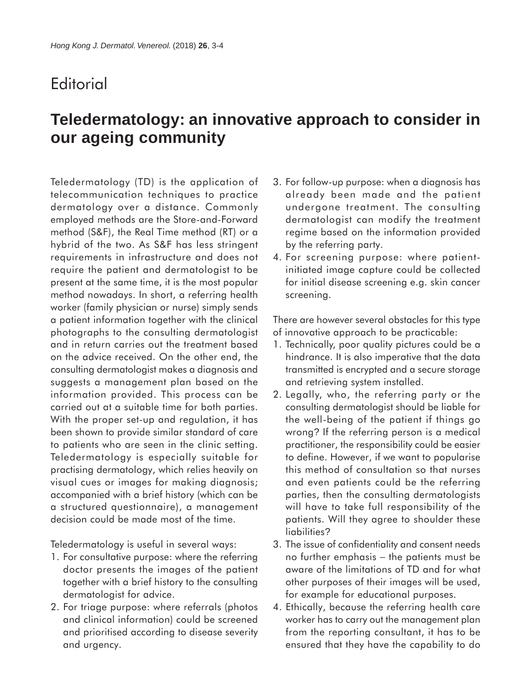## **Editorial**

## **Teledermatology: an innovative approach to consider in our ageing community**

Teledermatology (TD) is the application of telecommunication techniques to practice dermatology over a distance. Commonly employed methods are the Store-and-Forward method (S&F), the Real Time method (RT) or a hybrid of the two. As S&F has less stringent requirements in infrastructure and does not require the patient and dermatologist to be present at the same time, it is the most popular method nowadays. In short, a referring health worker (family physician or nurse) simply sends a patient information together with the clinical photographs to the consulting dermatologist and in return carries out the treatment based on the advice received. On the other end, the consulting dermatologist makes a diagnosis and suggests a management plan based on the information provided. This process can be carried out at a suitable time for both parties. With the proper set-up and regulation, it has been shown to provide similar standard of care to patients who are seen in the clinic setting. Teledermatology is especially suitable for practising dermatology, which relies heavily on visual cues or images for making diagnosis; accompanied with a brief history (which can be a structured questionnaire), a management decision could be made most of the time.

Teledermatology is useful in several ways:

- 1. For consultative purpose: where the referring doctor presents the images of the patient together with a brief history to the consulting dermatologist for advice.
- 2. For triage purpose: where referrals (photos and clinical information) could be screened and prioritised according to disease severity and urgency.
- 3. For follow-up purpose: when a diagnosis has already been made and the patient undergone treatment. The consulting dermatologist can modify the treatment regime based on the information provided by the referring party.
- 4. For screening purpose: where patientinitiated image capture could be collected for initial disease screening e.g. skin cancer screening.

There are however several obstacles for this type of innovative approach to be practicable:

- 1. Technically, poor quality pictures could be a hindrance. It is also imperative that the data transmitted is encrypted and a secure storage and retrieving system installed.
- 2. Legally, who, the referring party or the consulting dermatologist should be liable for the well-being of the patient if things go wrong? If the referring person is a medical practitioner, the responsibility could be easier to define. However, if we want to popularise this method of consultation so that nurses and even patients could be the referring parties, then the consulting dermatologists will have to take full responsibility of the patients. Will they agree to shoulder these liabilities?
- 3. The issue of confidentiality and consent needs no further emphasis – the patients must be aware of the limitations of TD and for what other purposes of their images will be used, for example for educational purposes.
- 4. Ethically, because the referring health care worker has to carry out the management plan from the reporting consultant, it has to be ensured that they have the capability to do